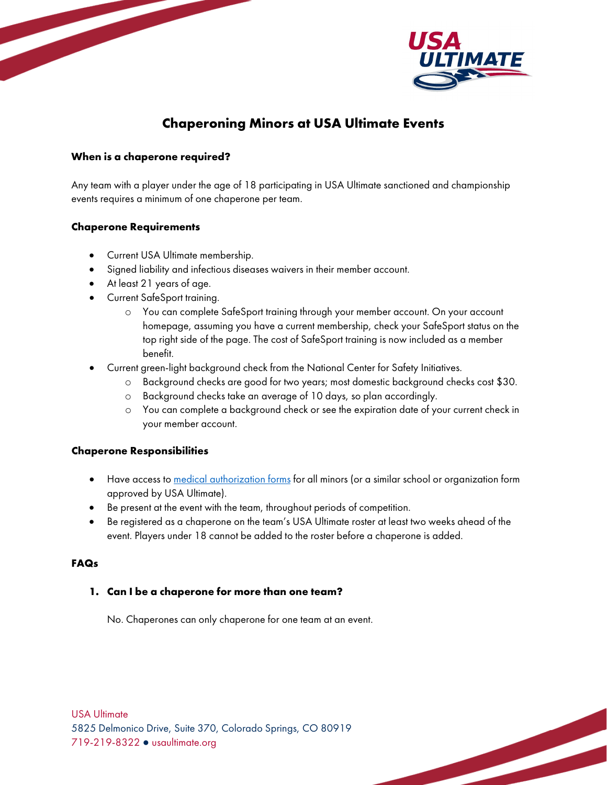

# **Chaperoning Minors at USA Ultimate Events**

### **When is a chaperone required?**

Any team with a player under the age of 18 participating in USA Ultimate sanctioned and championship events requires a minimum of one chaperone per team.

# **Chaperone Requirements**

- Current USA Ultimate membership.
- Signed liability and infectious diseases waivers in their member account.
- At least 21 years of age.
- Current SafeSport training.
	- o You can complete SafeSport training through your member account. On your account homepage, assuming you have a current membership, check your SafeSport status on the top right side of the page. The cost of SafeSport training is now included as a member benefit.
- Current green-light background check from the National Center for Safety Initiatives.
	- o Background checks are good for two years; most domestic background checks cost \$30.
	- o Background checks take an average of 10 days, so plan accordingly.
	- o You can complete a background check or see the expiration date of your current check in your member account.

### **Chaperone Responsibilities**

- Have access to [medical authorization forms](https://usaultimate.org/wp-content/uploads/2020/09/Medical-Authorization-V4.1.form_.pdf) for all minors (or a similar school or organization form approved by USA Ultimate).
- Be present at the event with the team, throughout periods of competition.
- Be registered as a chaperone on the team's USA Ultimate roster at least two weeks ahead of the event. Players under 18 cannot be added to the roster before a chaperone is added.

## **FAQs**

# **1. Can I be a chaperone for more than one team?**

No. Chaperones can only chaperone for one team at an event.